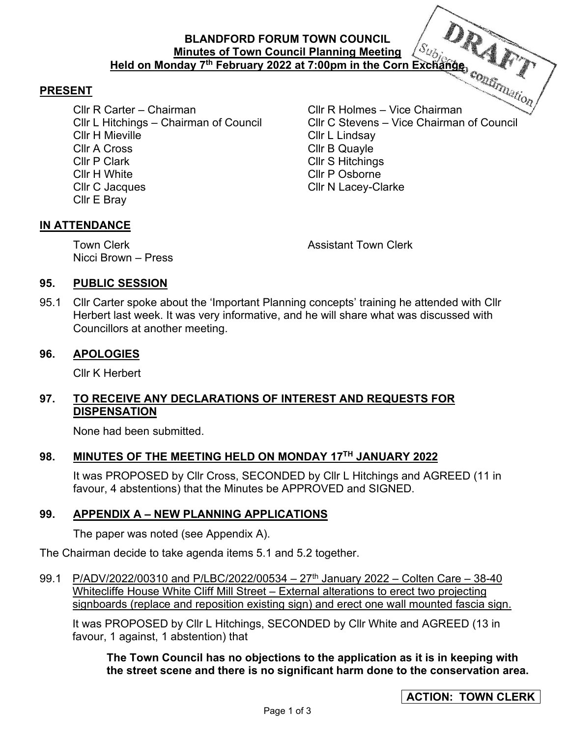## **BLANDFORD FORUM TOWN COUNCIL Minutes of Town Council Planning Meeting Held on Monday 7th February 2022 at 7:00pm in the Corn Exchange**

#### **PRESENT**

Cllr R Carter – Chairman Cllr R Holmes – Vice Chairman Cllr H Mieville Cllr L Lindsay Cllr A Cross Cllr B Quayle Cllr P Clark Cllr S Hitchings Cllr H White Cllr P Osborne Cllr C Jacques Cllr N Lacey-Clarke Cllr E Bray

Cllr L Hitchings – Chairman of Council Cllr C Stevens – Vice Chairman of Council

#### **IN ATTENDANCE**

Nicci Brown – Press

Town Clerk **Town Clerk Assistant Town Clerk** 

#### **95. PUBLIC SESSION**

95.1 Cllr Carter spoke about the 'Important Planning concepts' training he attended with Cllr Herbert last week. It was very informative, and he will share what was discussed with Councillors at another meeting.

#### **96. APOLOGIES**

Cllr K Herbert

# **97. TO RECEIVE ANY DECLARATIONS OF INTEREST AND REQUESTS FOR DISPENSATION**

None had been submitted.

### **98. MINUTES OF THE MEETING HELD ON MONDAY 17TH JANUARY 2022**

It was PROPOSED by Cllr Cross, SECONDED by Cllr L Hitchings and AGREED (11 in favour, 4 abstentions) that the Minutes be APPROVED and SIGNED.

### **99. APPENDIX A – NEW PLANNING APPLICATIONS**

The paper was noted (see Appendix A).

The Chairman decide to take agenda items 5.1 and 5.2 together.

99.1 P/ADV/2022/00310 and P/LBC/2022/00534 – 27<sup>th</sup> January 2022 – Colten Care – 38-40 Whitecliffe House White Cliff Mill Street – External alterations to erect two projecting signboards (replace and reposition existing sign) and erect one wall mounted fascia sign.

It was PROPOSED by Cllr L Hitchings, SECONDED by Cllr White and AGREED (13 in favour, 1 against, 1 abstention) that

**The Town Council has no objections to the application as it is in keeping with the street scene and there is no significant harm done to the conservation area.**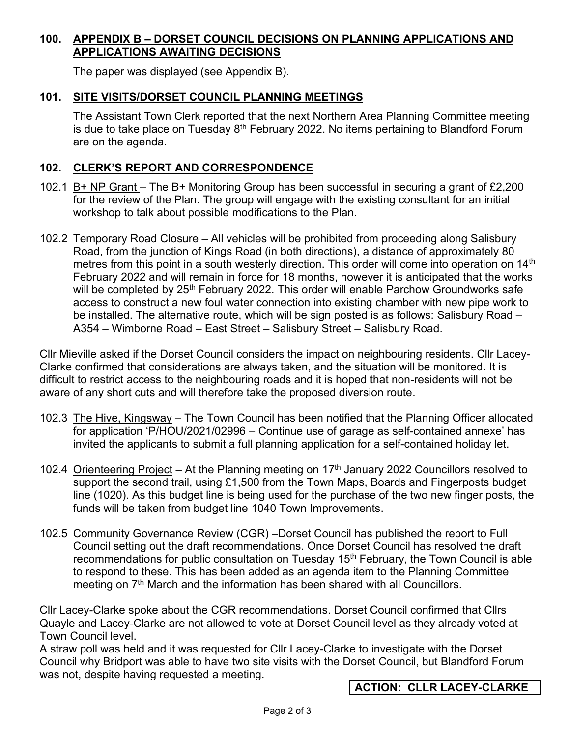# **100. APPENDIX B – DORSET COUNCIL DECISIONS ON PLANNING APPLICATIONS AND APPLICATIONS AWAITING DECISIONS**

The paper was displayed (see Appendix B).

# **101. SITE VISITS/DORSET COUNCIL PLANNING MEETINGS**

The Assistant Town Clerk reported that the next Northern Area Planning Committee meeting is due to take place on Tuesday  $8<sup>th</sup>$  February 2022. No items pertaining to Blandford Forum are on the agenda.

## **102. CLERK'S REPORT AND CORRESPONDENCE**

- 102.1 B+ NP Grant The B+ Monitoring Group has been successful in securing a grant of £2,200 for the review of the Plan. The group will engage with the existing consultant for an initial workshop to talk about possible modifications to the Plan.
- 102.2 Temporary Road Closure All vehicles will be prohibited from proceeding along Salisbury Road, from the junction of Kings Road (in both directions), a distance of approximately 80 metres from this point in a south westerly direction. This order will come into operation on 14<sup>th</sup> February 2022 and will remain in force for 18 months, however it is anticipated that the works will be completed by 25<sup>th</sup> February 2022. This order will enable Parchow Groundworks safe access to construct a new foul water connection into existing chamber with new pipe work to be installed. The alternative route, which will be sign posted is as follows: Salisbury Road – A354 – Wimborne Road – East Street – Salisbury Street – Salisbury Road.

Cllr Mieville asked if the Dorset Council considers the impact on neighbouring residents. Cllr Lacey-Clarke confirmed that considerations are always taken, and the situation will be monitored. It is difficult to restrict access to the neighbouring roads and it is hoped that non-residents will not be aware of any short cuts and will therefore take the proposed diversion route.

- 102.3 The Hive, Kingsway The Town Council has been notified that the Planning Officer allocated for application 'P/HOU/2021/02996 – Continue use of garage as self-contained annexe' has invited the applicants to submit a full planning application for a self-contained holiday let.
- 102.4 Orienteering Project At the Planning meeting on  $17<sup>th</sup>$  January 2022 Councillors resolved to support the second trail, using £1,500 from the Town Maps, Boards and Fingerposts budget line (1020). As this budget line is being used for the purchase of the two new finger posts, the funds will be taken from budget line 1040 Town Improvements.
- 102.5 Community Governance Review (CGR) –Dorset Council has published the report to Full Council setting out the draft recommendations. Once Dorset Council has resolved the draft recommendations for public consultation on Tuesday  $15<sup>th</sup>$  February, the Town Council is able to respond to these. This has been added as an agenda item to the Planning Committee meeting on 7<sup>th</sup> March and the information has been shared with all Councillors.

Cllr Lacey-Clarke spoke about the CGR recommendations. Dorset Council confirmed that Cllrs Quayle and Lacey-Clarke are not allowed to vote at Dorset Council level as they already voted at Town Council level.

A straw poll was held and it was requested for Cllr Lacey-Clarke to investigate with the Dorset Council why Bridport was able to have two site visits with the Dorset Council, but Blandford Forum was not, despite having requested a meeting.

# **ACTION: CLLR LACEY-CLARKE**